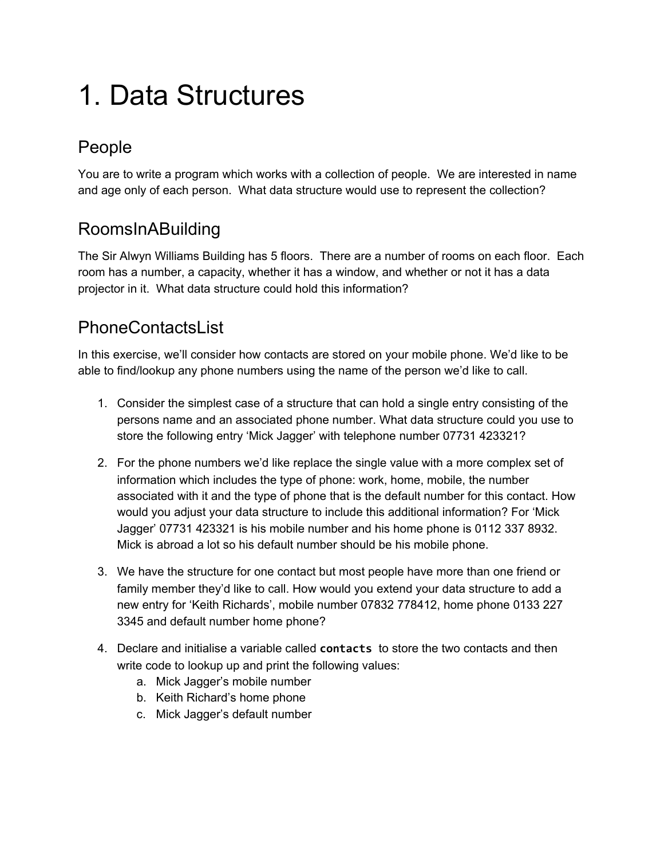# 1. Data Structures

## People

You are to write a program which works with a collection of people. We are interested in name and age only of each person. What data structure would use to represent the collection?

## RoomsInABuilding

The Sir Alwyn Williams Building has 5 floors. There are a number of rooms on each floor. Each room has a number, a capacity, whether it has a window, and whether or not it has a data projector in it. What data structure could hold this information?

### **PhoneContactsList**

In this exercise, we'll consider how contacts are stored on your mobile phone. We'd like to be able to find/lookup any phone numbers using the name of the person we'd like to call.

- 1. Consider the simplest case of a structure that can hold a single entry consisting of the persons name and an associated phone number. What data structure could you use to store the following entry 'Mick Jagger' with telephone number 07731 423321?
- 2. For the phone numbers we'd like replace the single value with a more complex set of information which includes the type of phone: work, home, mobile, the number associated with it and the type of phone that is the default number for this contact. How would you adjust your data structure to include this additional information? For 'Mick Jagger' 07731 423321 is his mobile number and his home phone is 0112 337 8932. Mick is abroad a lot so his default number should be his mobile phone.
- 3. We have the structure for one contact but most people have more than one friend or family member they'd like to call. How would you extend your data structure to add a new entry for 'Keith Richards', mobile number 07832 778412, home phone 0133 227 3345 and default number home phone?
- 4. Declare and initialise a variable called **contacts** to store the two contacts and then write code to lookup up and print the following values:
	- a. Mick Jagger's mobile number
	- b. Keith Richard's home phone
	- c. Mick Jagger's default number